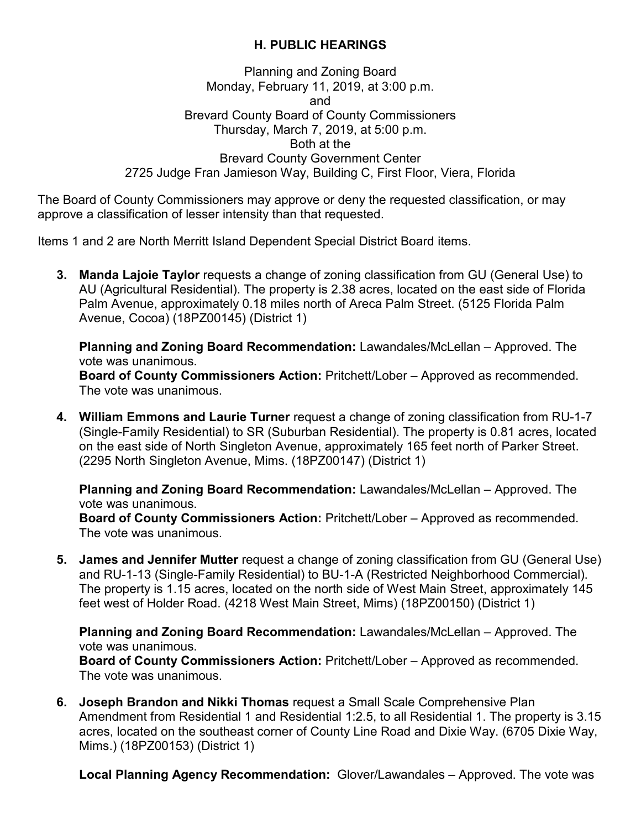## **H. PUBLIC HEARINGS**

## Planning and Zoning Board Monday, February 11, 2019, at 3:00 p.m. and Brevard County Board of County Commissioners Thursday, March 7, 2019, at 5:00 p.m. Both at the Brevard County Government Center 2725 Judge Fran Jamieson Way, Building C, First Floor, Viera, Florida

The Board of County Commissioners may approve or deny the requested classification, or may approve a classification of lesser intensity than that requested.

Items 1 and 2 are North Merritt Island Dependent Special District Board items.

**3. Manda Lajoie Taylor** requests a change of zoning classification from GU (General Use) to AU (Agricultural Residential). The property is 2.38 acres, located on the east side of Florida Palm Avenue, approximately 0.18 miles north of Areca Palm Street. (5125 Florida Palm Avenue, Cocoa) (18PZ00145) (District 1)

**Planning and Zoning Board Recommendation:** Lawandales/McLellan – Approved. The vote was unanimous.

**Board of County Commissioners Action:** Pritchett/Lober – Approved as recommended. The vote was unanimous.

**4. William Emmons and Laurie Turner** request a change of zoning classification from RU-1-7 (Single-Family Residential) to SR (Suburban Residential). The property is 0.81 acres, located on the east side of North Singleton Avenue, approximately 165 feet north of Parker Street. (2295 North Singleton Avenue, Mims. (18PZ00147) (District 1)

**Planning and Zoning Board Recommendation:** Lawandales/McLellan – Approved. The vote was unanimous.

**Board of County Commissioners Action:** Pritchett/Lober – Approved as recommended. The vote was unanimous.

**5. James and Jennifer Mutter** request a change of zoning classification from GU (General Use) and RU-1-13 (Single-Family Residential) to BU-1-A (Restricted Neighborhood Commercial). The property is 1.15 acres, located on the north side of West Main Street, approximately 145 feet west of Holder Road. (4218 West Main Street, Mims) (18PZ00150) (District 1)

**Planning and Zoning Board Recommendation:** Lawandales/McLellan – Approved. The vote was unanimous.

**Board of County Commissioners Action:** Pritchett/Lober – Approved as recommended. The vote was unanimous.

**6. Joseph Brandon and Nikki Thomas** request a Small Scale Comprehensive Plan Amendment from Residential 1 and Residential 1:2.5, to all Residential 1. The property is 3.15 acres, located on the southeast corner of County Line Road and Dixie Way. (6705 Dixie Way, Mims.) (18PZ00153) (District 1)

**Local Planning Agency Recommendation:** Glover/Lawandales – Approved. The vote was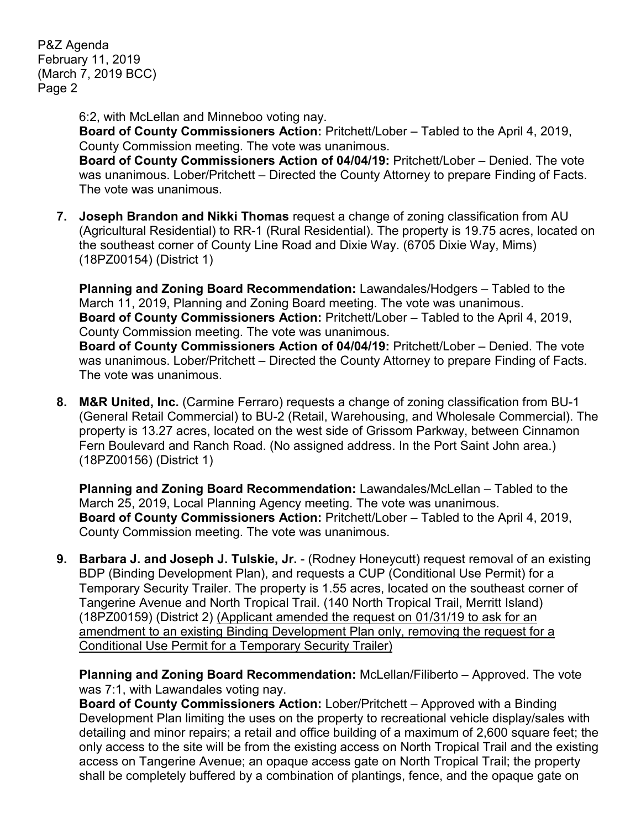P&Z Agenda February 11, 2019 (March 7, 2019 BCC) Page 2

6:2, with McLellan and Minneboo voting nay.

**Board of County Commissioners Action:** Pritchett/Lober – Tabled to the April 4, 2019, County Commission meeting. The vote was unanimous.

**Board of County Commissioners Action of 04/04/19:** Pritchett/Lober – Denied. The vote was unanimous. Lober/Pritchett – Directed the County Attorney to prepare Finding of Facts. The vote was unanimous.

**7. Joseph Brandon and Nikki Thomas** request a change of zoning classification from AU (Agricultural Residential) to RR-1 (Rural Residential). The property is 19.75 acres, located on the southeast corner of County Line Road and Dixie Way. (6705 Dixie Way, Mims) (18PZ00154) (District 1)

**Planning and Zoning Board Recommendation:** Lawandales/Hodgers – Tabled to the March 11, 2019, Planning and Zoning Board meeting. The vote was unanimous. **Board of County Commissioners Action:** Pritchett/Lober – Tabled to the April 4, 2019, County Commission meeting. The vote was unanimous.

**Board of County Commissioners Action of 04/04/19:** Pritchett/Lober – Denied. The vote was unanimous. Lober/Pritchett – Directed the County Attorney to prepare Finding of Facts. The vote was unanimous.

**8. M&R United, Inc.** (Carmine Ferraro) requests a change of zoning classification from BU-1 (General Retail Commercial) to BU-2 (Retail, Warehousing, and Wholesale Commercial). The property is 13.27 acres, located on the west side of Grissom Parkway, between Cinnamon Fern Boulevard and Ranch Road. (No assigned address. In the Port Saint John area.) (18PZ00156) (District 1)

**Planning and Zoning Board Recommendation:** Lawandales/McLellan – Tabled to the March 25, 2019, Local Planning Agency meeting. The vote was unanimous. **Board of County Commissioners Action:** Pritchett/Lober – Tabled to the April 4, 2019, County Commission meeting. The vote was unanimous.

**9. Barbara J. and Joseph J. Tulskie, Jr.** - (Rodney Honeycutt) request removal of an existing BDP (Binding Development Plan), and requests a CUP (Conditional Use Permit) for a Temporary Security Trailer. The property is 1.55 acres, located on the southeast corner of Tangerine Avenue and North Tropical Trail. (140 North Tropical Trail, Merritt Island) (18PZ00159) (District 2) (Applicant amended the request on 01/31/19 to ask for an amendment to an existing Binding Development Plan only, removing the request for a Conditional Use Permit for a Temporary Security Trailer)

**Planning and Zoning Board Recommendation:** McLellan/Filiberto – Approved. The vote was 7:1, with Lawandales voting nay.

**Board of County Commissioners Action:** Lober/Pritchett – Approved with a Binding Development Plan limiting the uses on the property to recreational vehicle display/sales with detailing and minor repairs; a retail and office building of a maximum of 2,600 square feet; the only access to the site will be from the existing access on North Tropical Trail and the existing access on Tangerine Avenue; an opaque access gate on North Tropical Trail; the property shall be completely buffered by a combination of plantings, fence, and the opaque gate on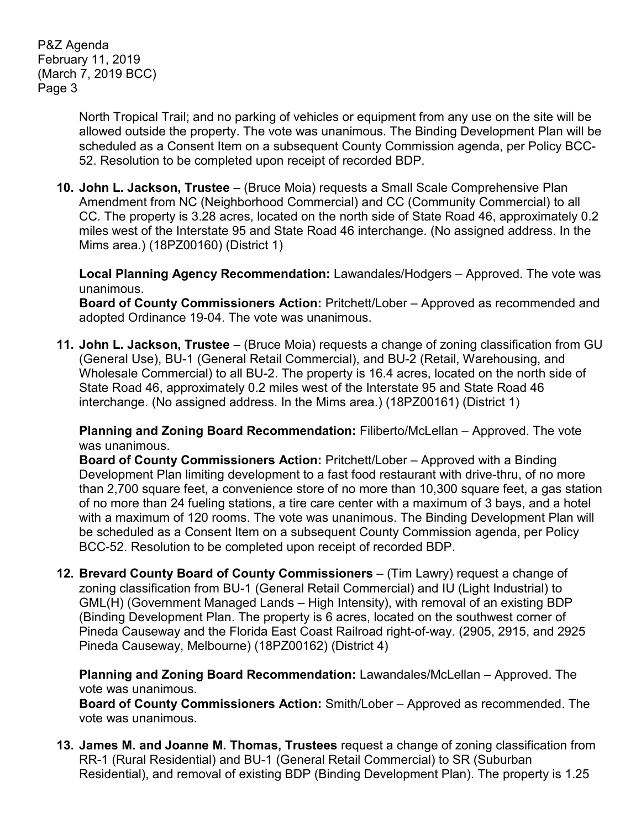P&Z Agenda February 11, 2019 (March 7, 2019 BCC) Page 3

> North Tropical Trail; and no parking of vehicles or equipment from any use on the site will be allowed outside the property. The vote was unanimous. The Binding Development Plan will be scheduled as a Consent Item on a subsequent County Commission agenda, per Policy BCC-52. Resolution to be completed upon receipt of recorded BDP.

**10. John L. Jackson, Trustee** – (Bruce Moia) requests a Small Scale Comprehensive Plan Amendment from NC (Neighborhood Commercial) and CC (Community Commercial) to all CC. The property is 3.28 acres, located on the north side of State Road 46, approximately 0.2 miles west of the Interstate 95 and State Road 46 interchange. (No assigned address. In the Mims area.) (18PZ00160) (District 1)

**Local Planning Agency Recommendation:** Lawandales/Hodgers – Approved. The vote was unanimous.

**Board of County Commissioners Action:** Pritchett/Lober – Approved as recommended and adopted Ordinance 19-04. The vote was unanimous.

**11. John L. Jackson, Trustee** – (Bruce Moia) requests a change of zoning classification from GU (General Use), BU-1 (General Retail Commercial), and BU-2 (Retail, Warehousing, and Wholesale Commercial) to all BU-2. The property is 16.4 acres, located on the north side of State Road 46, approximately 0.2 miles west of the Interstate 95 and State Road 46 interchange. (No assigned address. In the Mims area.) (18PZ00161) (District 1)

**Planning and Zoning Board Recommendation:** Filiberto/McLellan – Approved. The vote was unanimous.

**Board of County Commissioners Action:** Pritchett/Lober – Approved with a Binding Development Plan limiting development to a fast food restaurant with drive-thru, of no more than 2,700 square feet, a convenience store of no more than 10,300 square feet, a gas station of no more than 24 fueling stations, a tire care center with a maximum of 3 bays, and a hotel with a maximum of 120 rooms. The vote was unanimous. The Binding Development Plan will be scheduled as a Consent Item on a subsequent County Commission agenda, per Policy BCC-52. Resolution to be completed upon receipt of recorded BDP.

**12. Brevard County Board of County Commissioners** – (Tim Lawry) request a change of zoning classification from BU-1 (General Retail Commercial) and IU (Light Industrial) to GML(H) (Government Managed Lands – High Intensity), with removal of an existing BDP (Binding Development Plan. The property is 6 acres, located on the southwest corner of Pineda Causeway and the Florida East Coast Railroad right-of-way. (2905, 2915, and 2925 Pineda Causeway, Melbourne) (18PZ00162) (District 4)

**Planning and Zoning Board Recommendation:** Lawandales/McLellan – Approved. The vote was unanimous.

**Board of County Commissioners Action:** Smith/Lober – Approved as recommended. The vote was unanimous.

**13. James M. and Joanne M. Thomas, Trustees** request a change of zoning classification from RR-1 (Rural Residential) and BU-1 (General Retail Commercial) to SR (Suburban Residential), and removal of existing BDP (Binding Development Plan). The property is 1.25